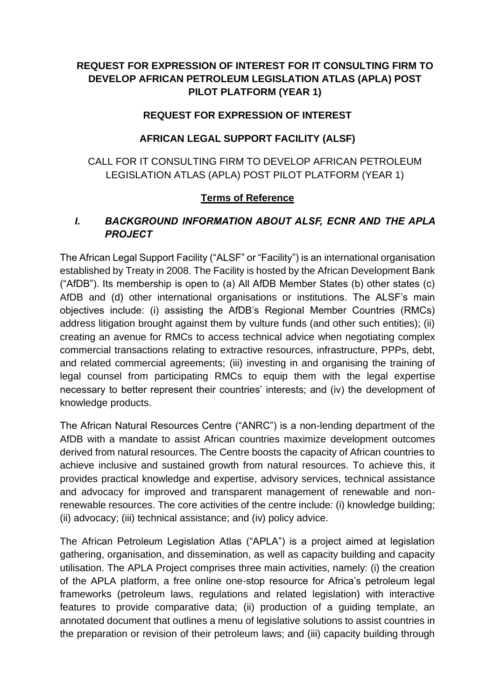# **REQUEST FOR EXPRESSION OF INTEREST FOR IT CONSULTING FIRM TO DEVELOP AFRICAN PETROLEUM LEGISLATION ATLAS (APLA) POST PILOT PLATFORM (YEAR 1)**

#### **REQUEST FOR EXPRESSION OF INTEREST**

#### **AFRICAN LEGAL SUPPORT FACILITY (ALSF)**

#### CALL FOR IT CONSULTING FIRM TO DEVELOP AFRICAN PETROLEUM LEGISLATION ATLAS (APLA) POST PILOT PLATFORM (YEAR 1)

#### **Terms of Reference**

#### *I. BACKGROUND INFORMATION ABOUT ALSF, ECNR AND THE APLA PROJECT*

The African Legal Support Facility ("ALSF" or "Facility") is an international organisation established by Treaty in 2008. The Facility is hosted by the African Development Bank ("AfDB"). Its membership is open to (a) All AfDB Member States (b) other states (c) AfDB and (d) other international organisations or institutions. The ALSF's main objectives include: (i) assisting the AfDB's Regional Member Countries (RMCs) address litigation brought against them by vulture funds (and other such entities); (ii) creating an avenue for RMCs to access technical advice when negotiating complex commercial transactions relating to extractive resources, infrastructure, PPPs, debt, and related commercial agreements; (iii) investing in and organising the training of legal counsel from participating RMCs to equip them with the legal expertise necessary to better represent their countries' interests; and (iv) the development of knowledge products.

The African Natural Resources Centre ("ANRC") is a non-lending department of the AfDB with a mandate to assist African countries maximize development outcomes derived from natural resources. The Centre boosts the capacity of African countries to achieve inclusive and sustained growth from natural resources. To achieve this, it provides practical knowledge and expertise, advisory services, technical assistance and advocacy for improved and transparent management of renewable and nonrenewable resources. The core activities of the centre include: (i) knowledge building; (ii) advocacy; (iii) technical assistance; and (iv) policy advice.

The African Petroleum Legislation Atlas ("APLA") is a project aimed at legislation gathering, organisation, and dissemination, as well as capacity building and capacity utilisation. The APLA Project comprises three main activities, namely: (i) the creation of the APLA platform, a free online one-stop resource for Africa's petroleum legal frameworks (petroleum laws, regulations and related legislation) with interactive features to provide comparative data; (ii) production of a guiding template, an annotated document that outlines a menu of legislative solutions to assist countries in the preparation or revision of their petroleum laws; and (iii) capacity building through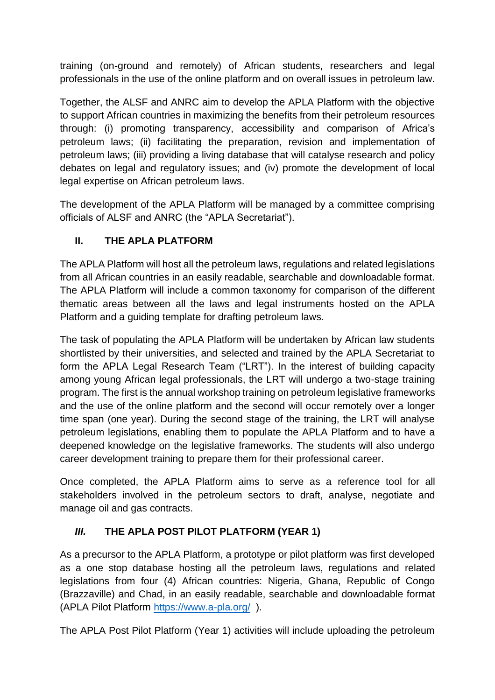training (on-ground and remotely) of African students, researchers and legal professionals in the use of the online platform and on overall issues in petroleum law.

Together, the ALSF and ANRC aim to develop the APLA Platform with the objective to support African countries in maximizing the benefits from their petroleum resources through: (i) promoting transparency, accessibility and comparison of Africa's petroleum laws; (ii) facilitating the preparation, revision and implementation of petroleum laws; (iii) providing a living database that will catalyse research and policy debates on legal and regulatory issues; and (iv) promote the development of local legal expertise on African petroleum laws.

The development of the APLA Platform will be managed by a committee comprising officials of ALSF and ANRC (the "APLA Secretariat").

# **II. THE APLA PLATFORM**

The APLA Platform will host all the petroleum laws, regulations and related legislations from all African countries in an easily readable, searchable and downloadable format. The APLA Platform will include a common taxonomy for comparison of the different thematic areas between all the laws and legal instruments hosted on the APLA Platform and a guiding template for drafting petroleum laws.

The task of populating the APLA Platform will be undertaken by African law students shortlisted by their universities, and selected and trained by the APLA Secretariat to form the APLA Legal Research Team ("LRT"). In the interest of building capacity among young African legal professionals, the LRT will undergo a two-stage training program. The first is the annual workshop training on petroleum legislative frameworks and the use of the online platform and the second will occur remotely over a longer time span (one year). During the second stage of the training, the LRT will analyse petroleum legislations, enabling them to populate the APLA Platform and to have a deepened knowledge on the legislative frameworks. The students will also undergo career development training to prepare them for their professional career.

Once completed, the APLA Platform aims to serve as a reference tool for all stakeholders involved in the petroleum sectors to draft, analyse, negotiate and manage oil and gas contracts.

# *III.* **THE APLA POST PILOT PLATFORM (YEAR 1)**

As a precursor to the APLA Platform, a prototype or pilot platform was first developed as a one stop database hosting all the petroleum laws, regulations and related legislations from four (4) African countries: Nigeria, Ghana, Republic of Congo (Brazzaville) and Chad, in an easily readable, searchable and downloadable format (APLA Pilot Platform <https://www.a-pla.org/> ).

The APLA Post Pilot Platform (Year 1) activities will include uploading the petroleum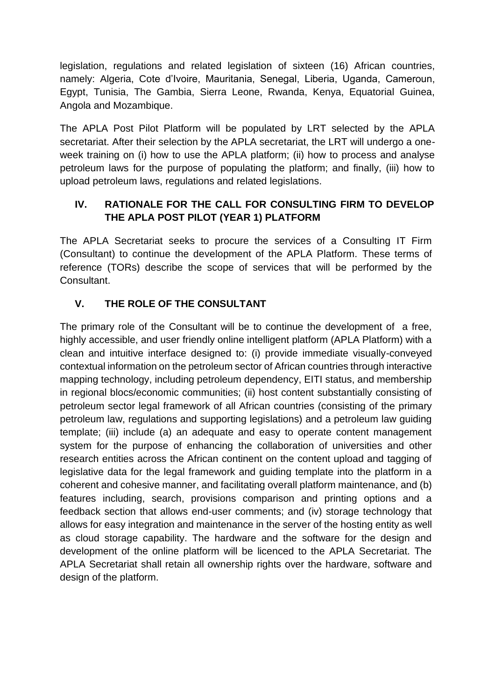legislation, regulations and related legislation of sixteen (16) African countries, namely: Algeria, Cote d'Ivoire, Mauritania, Senegal, Liberia, Uganda, Cameroun, Egypt, Tunisia, The Gambia, Sierra Leone, Rwanda, Kenya, Equatorial Guinea, Angola and Mozambique.

The APLA Post Pilot Platform will be populated by LRT selected by the APLA secretariat. After their selection by the APLA secretariat, the LRT will undergo a oneweek training on (i) how to use the APLA platform; (ii) how to process and analyse petroleum laws for the purpose of populating the platform; and finally, (iii) how to upload petroleum laws, regulations and related legislations.

#### **IV. RATIONALE FOR THE CALL FOR CONSULTING FIRM TO DEVELOP THE APLA POST PILOT (YEAR 1) PLATFORM**

The APLA Secretariat seeks to procure the services of a Consulting IT Firm (Consultant) to continue the development of the APLA Platform. These terms of reference (TORs) describe the scope of services that will be performed by the Consultant.

# **V. THE ROLE OF THE CONSULTANT**

The primary role of the Consultant will be to continue the development of a free, highly accessible, and user friendly online intelligent platform (APLA Platform) with a clean and intuitive interface designed to: (i) provide immediate visually-conveyed contextual information on the petroleum sector of African countries through interactive mapping technology, including petroleum dependency, EITI status, and membership in regional blocs/economic communities; (ii) host content substantially consisting of petroleum sector legal framework of all African countries (consisting of the primary petroleum law, regulations and supporting legislations) and a petroleum law guiding template; (iii) include (a) an adequate and easy to operate content management system for the purpose of enhancing the collaboration of universities and other research entities across the African continent on the content upload and tagging of legislative data for the legal framework and guiding template into the platform in a coherent and cohesive manner, and facilitating overall platform maintenance, and (b) features including, search, provisions comparison and printing options and a feedback section that allows end-user comments; and (iv) storage technology that allows for easy integration and maintenance in the server of the hosting entity as well as cloud storage capability. The hardware and the software for the design and development of the online platform will be licenced to the APLA Secretariat. The APLA Secretariat shall retain all ownership rights over the hardware, software and design of the platform.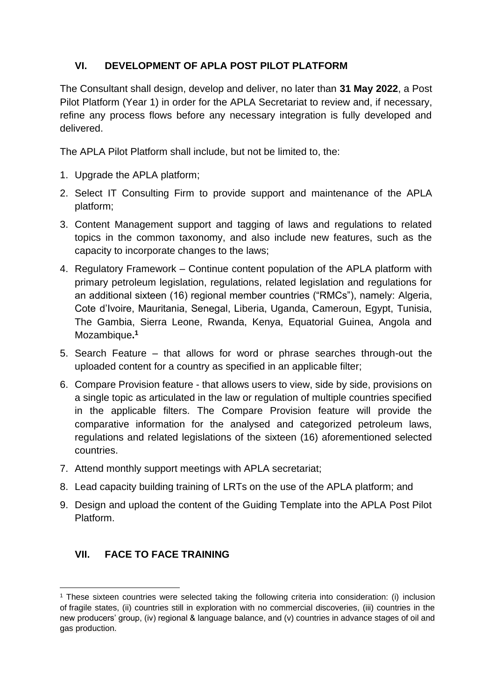# **VI. DEVELOPMENT OF APLA POST PILOT PLATFORM**

The Consultant shall design, develop and deliver, no later than **31 May 2022**, a Post Pilot Platform (Year 1) in order for the APLA Secretariat to review and, if necessary, refine any process flows before any necessary integration is fully developed and delivered.

The APLA Pilot Platform shall include, but not be limited to, the:

- 1. Upgrade the APLA platform;
- 2. Select IT Consulting Firm to provide support and maintenance of the APLA platform;
- 3. Content Management support and tagging of laws and regulations to related topics in the common taxonomy, and also include new features, such as the capacity to incorporate changes to the laws;
- 4. Regulatory Framework Continue content population of the APLA platform with primary petroleum legislation, regulations, related legislation and regulations for an additional sixteen (16) regional member countries ("RMCs"), namely: Algeria, Cote d'Ivoire, Mauritania, Senegal, Liberia, Uganda, Cameroun, Egypt, Tunisia, The Gambia, Sierra Leone, Rwanda, Kenya, Equatorial Guinea, Angola and Mozambique**. 1**
- 5. Search Feature that allows for word or phrase searches through-out the uploaded content for a country as specified in an applicable filter;
- 6. Compare Provision feature that allows users to view, side by side, provisions on a single topic as articulated in the law or regulation of multiple countries specified in the applicable filters. The Compare Provision feature will provide the comparative information for the analysed and categorized petroleum laws, regulations and related legislations of the sixteen (16) aforementioned selected countries.
- 7. Attend monthly support meetings with APLA secretariat;
- 8. Lead capacity building training of LRTs on the use of the APLA platform; and
- 9. Design and upload the content of the Guiding Template into the APLA Post Pilot Platform.

# **VII. FACE TO FACE TRAINING**

<sup>1</sup> These sixteen countries were selected taking the following criteria into consideration: (i) inclusion of fragile states, (ii) countries still in exploration with no commercial discoveries, (iii) countries in the new producers' group, (iv) regional & language balance, and (v) countries in advance stages of oil and gas production.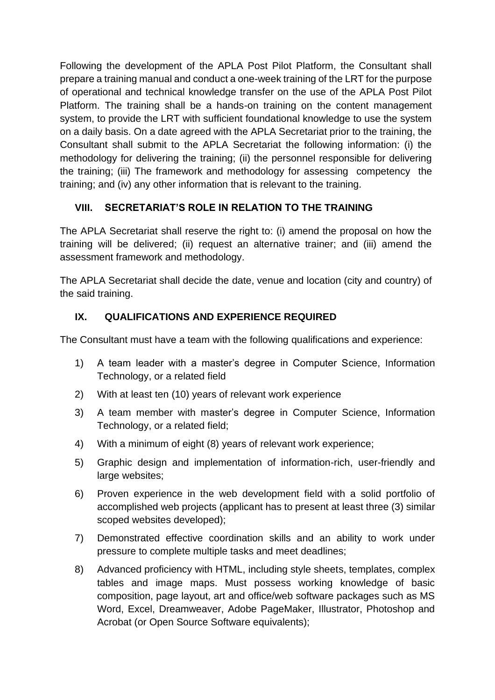Following the development of the APLA Post Pilot Platform, the Consultant shall prepare a training manual and conduct a one-week training of the LRT for the purpose of operational and technical knowledge transfer on the use of the APLA Post Pilot Platform. The training shall be a hands-on training on the content management system, to provide the LRT with sufficient foundational knowledge to use the system on a daily basis. On a date agreed with the APLA Secretariat prior to the training, the Consultant shall submit to the APLA Secretariat the following information: (i) the methodology for delivering the training; (ii) the personnel responsible for delivering the training; (iii) The framework and methodology for assessing competency the training; and (iv) any other information that is relevant to the training.

# **VIII. SECRETARIAT'S ROLE IN RELATION TO THE TRAINING**

The APLA Secretariat shall reserve the right to: (i) amend the proposal on how the training will be delivered; (ii) request an alternative trainer; and (iii) amend the assessment framework and methodology.

The APLA Secretariat shall decide the date, venue and location (city and country) of the said training.

# **IX. QUALIFICATIONS AND EXPERIENCE REQUIRED**

The Consultant must have a team with the following qualifications and experience:

- 1) A team leader with a master's degree in Computer Science, Information Technology, or a related field
- 2) With at least ten (10) years of relevant work experience
- 3) A team member with master's degree in Computer Science, Information Technology, or a related field;
- 4) With a minimum of eight (8) years of relevant work experience;
- 5) Graphic design and implementation of information-rich, user-friendly and large websites;
- 6) Proven experience in the web development field with a solid portfolio of accomplished web projects (applicant has to present at least three (3) similar scoped websites developed);
- 7) Demonstrated effective coordination skills and an ability to work under pressure to complete multiple tasks and meet deadlines;
- 8) Advanced proficiency with HTML, including style sheets, templates, complex tables and image maps. Must possess working knowledge of basic composition, page layout, art and office/web software packages such as MS Word, Excel, Dreamweaver, Adobe PageMaker, Illustrator, Photoshop and Acrobat (or Open Source Software equivalents);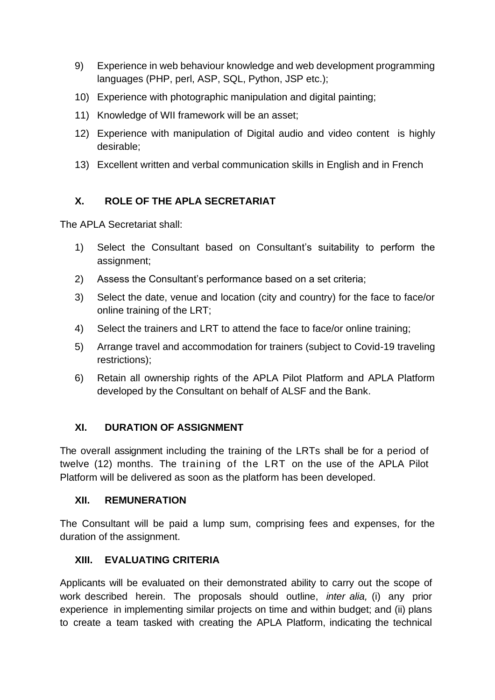- 9) Experience in web behaviour knowledge and web development programming languages (PHP, perl, ASP, SQL, Python, JSP etc.);
- 10) Experience with photographic manipulation and digital painting;
- 11) Knowledge of WII framework will be an asset;
- 12) Experience with manipulation of Digital audio and video content is highly desirable;
- 13) Excellent written and verbal communication skills in English and in French

# **X. ROLE OF THE APLA SECRETARIAT**

The APLA Secretariat shall:

- 1) Select the Consultant based on Consultant's suitability to perform the assignment;
- 2) Assess the Consultant's performance based on a set criteria;
- 3) Select the date, venue and location (city and country) for the face to face/or online training of the LRT;
- 4) Select the trainers and LRT to attend the face to face/or online training;
- 5) Arrange travel and accommodation for trainers (subject to Covid-19 traveling restrictions);
- 6) Retain all ownership rights of the APLA Pilot Platform and APLA Platform developed by the Consultant on behalf of ALSF and the Bank.

# **XI. DURATION OF ASSIGNMENT**

The overall assignment including the training of the LRTs shall be for a period of twelve (12) months. The training of the LRT on the use of the APLA Pilot Platform will be delivered as soon as the platform has been developed.

#### **XII. REMUNERATION**

The Consultant will be paid a lump sum, comprising fees and expenses, for the duration of the assignment.

#### **XIII. EVALUATING CRITERIA**

Applicants will be evaluated on their demonstrated ability to carry out the scope of work described herein. The proposals should outline, *inter alia,* (i) any prior experience in implementing similar projects on time and within budget; and (ii) plans to create a team tasked with creating the APLA Platform, indicating the technical